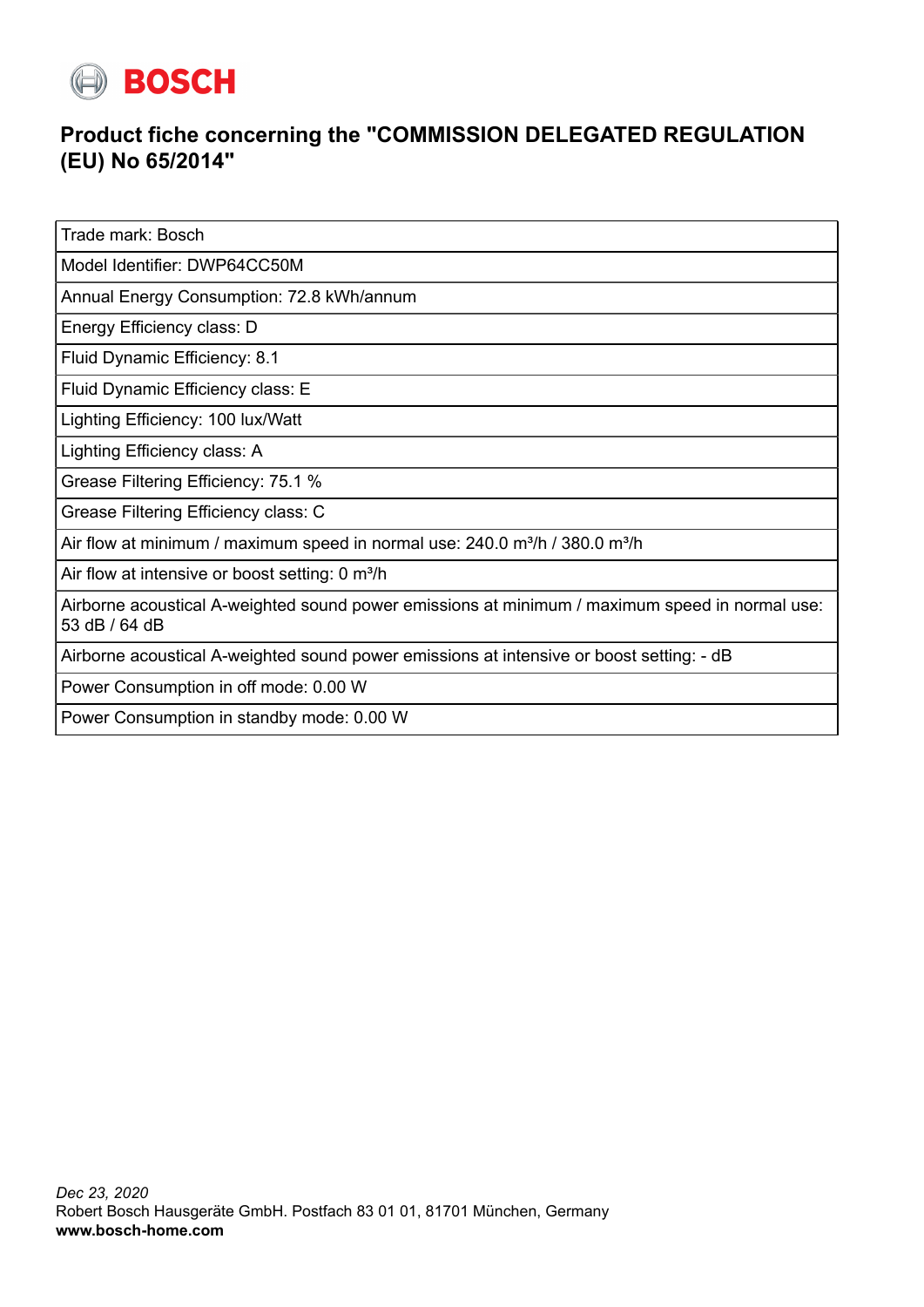

## **Product fiche concerning the "COMMISSION DELEGATED REGULATION (EU) No 65/2014"**

Trade mark: Bosch

Model Identifier: DWP64CC50M

Annual Energy Consumption: 72.8 kWh/annum

Energy Efficiency class: D

Fluid Dynamic Efficiency: 8.1

Fluid Dynamic Efficiency class: E

Lighting Efficiency: 100 lux/Watt

Lighting Efficiency class: A

Grease Filtering Efficiency: 75.1 %

Grease Filtering Efficiency class: C

Air flow at minimum / maximum speed in normal use:  $240.0$  m<sup>3</sup>/h / 380.0 m<sup>3</sup>/h

Air flow at intensive or boost setting: 0 m<sup>3</sup>/h

Airborne acoustical A-weighted sound power emissions at minimum / maximum speed in normal use: 53 dB / 64 dB

Airborne acoustical A-weighted sound power emissions at intensive or boost setting: - dB

Power Consumption in off mode: 0.00 W

Power Consumption in standby mode: 0.00 W